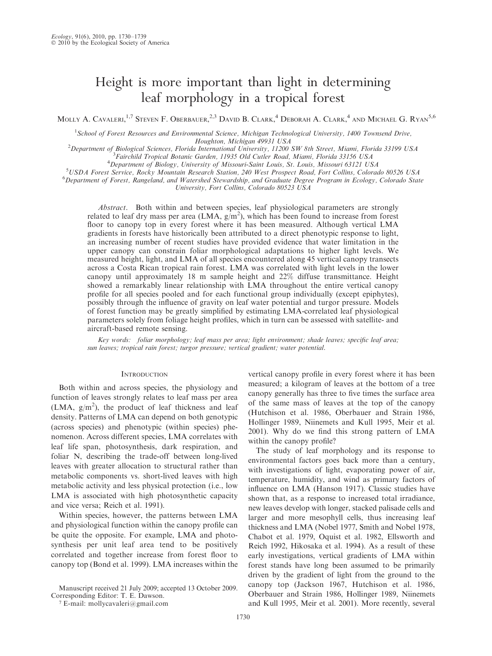# Height is more important than light in determining leaf morphology in a tropical forest

MOLLY A. CAVALERI,<sup>1,7</sup> STEVEN F. OBERBAUER,<sup>2,3</sup> DAVID B. CLARK,<sup>4</sup> DEBORAH A. CLARK,<sup>4</sup> AND MICHAEL G. RYAN<sup>5,6</sup>

<sup>1</sup>School of Forest Resources and Environmental Science, Michigan Technological University, 1400 Townsend Drive, Houghton, Michigan 49931 USA <sup>2</sup>

Department of Biological Sciences, Florida International University, 11200 SW 8th Street, Miami, Florida 33199 USA<br><sup>3</sup> Eginabild Tropical Botania Garden, 11035 Old Cutler Bood, Miami, Florida 33156 USA

<sup>3</sup>Fairchild Tropical Botanic Garden, 11935 Old Cutler Road, Miami, Florida 33156 USA <sup>4</sup>Department of Biology, University of Missouri-Saint Louis, St. Louis, Missouri 63121 USA

USDA Forest Service, Rocky Mountain Research Station, 240 West Prospect Road, Fort Collins, Colorado 80526 USA <sup>6</sup>

<sup>6</sup> Department of Forest, Rangeland, and Watershed Stewardship, and Graduate Degree Program in Ecology, Colorado State

University, Fort Collins, Colorado 80523 USA

Abstract. Both within and between species, leaf physiological parameters are strongly related to leaf dry mass per area (LMA,  $g/m^2$ ), which has been found to increase from forest floor to canopy top in every forest where it has been measured. Although vertical LMA gradients in forests have historically been attributed to a direct phenotypic response to light, an increasing number of recent studies have provided evidence that water limitation in the upper canopy can constrain foliar morphological adaptations to higher light levels. We measured height, light, and LMA of all species encountered along 45 vertical canopy transects across a Costa Rican tropical rain forest. LMA was correlated with light levels in the lower canopy until approximately 18 m sample height and 22% diffuse transmittance. Height showed a remarkably linear relationship with LMA throughout the entire vertical canopy profile for all species pooled and for each functional group individually (except epiphytes), possibly through the influence of gravity on leaf water potential and turgor pressure. Models of forest function may be greatly simplified by estimating LMA-correlated leaf physiological parameters solely from foliage height profiles, which in turn can be assessed with satellite- and aircraft-based remote sensing.

Key words: foliar morphology; leaf mass per area; light environment; shade leaves; specific leaf area; sun leaves; tropical rain forest; turgor pressure; vertical gradient; water potential.

## **INTRODUCTION**

Both within and across species, the physiology and function of leaves strongly relates to leaf mass per area (LMA,  $g/m^2$ ), the product of leaf thickness and leaf density. Patterns of LMA can depend on both genotypic (across species) and phenotypic (within species) phenomenon. Across different species, LMA correlates with leaf life span, photosynthesis, dark respiration, and foliar N, describing the trade-off between long-lived leaves with greater allocation to structural rather than metabolic components vs. short-lived leaves with high metabolic activity and less physical protection (i.e., low LMA is associated with high photosynthetic capacity and vice versa; Reich et al. 1991).

Within species, however, the patterns between LMA and physiological function within the canopy profile can be quite the opposite. For example, LMA and photosynthesis per unit leaf area tend to be positively correlated and together increase from forest floor to canopy top (Bond et al. 1999). LMA increases within the vertical canopy profile in every forest where it has been measured; a kilogram of leaves at the bottom of a tree canopy generally has three to five times the surface area of the same mass of leaves at the top of the canopy (Hutchison et al. 1986, Oberbauer and Strain 1986, Hollinger 1989, Niinemets and Kull 1995, Meir et al. 2001). Why do we find this strong pattern of LMA within the canopy profile?

The study of leaf morphology and its response to environmental factors goes back more than a century, with investigations of light, evaporating power of air, temperature, humidity, and wind as primary factors of influence on LMA (Hanson 1917). Classic studies have shown that, as a response to increased total irradiance, new leaves develop with longer, stacked palisade cells and larger and more mesophyll cells, thus increasing leaf thickness and LMA (Nobel 1977, Smith and Nobel 1978, Chabot et al. 1979, Oquist et al. 1982, Ellsworth and Reich 1992, Hikosaka et al. 1994). As a result of these early investigations, vertical gradients of LMA within forest stands have long been assumed to be primarily driven by the gradient of light from the ground to the canopy top (Jackson 1967, Hutchison et al. 1986, Oberbauer and Strain 1986, Hollinger 1989, Niinemets and Kull 1995, Meir et al. 2001). More recently, several

Manuscript received 21 July 2009; accepted 13 October 2009. Corresponding Editor: T. E. Dawson.

<sup>7</sup> E-mail: mollycavaleri@gmail.com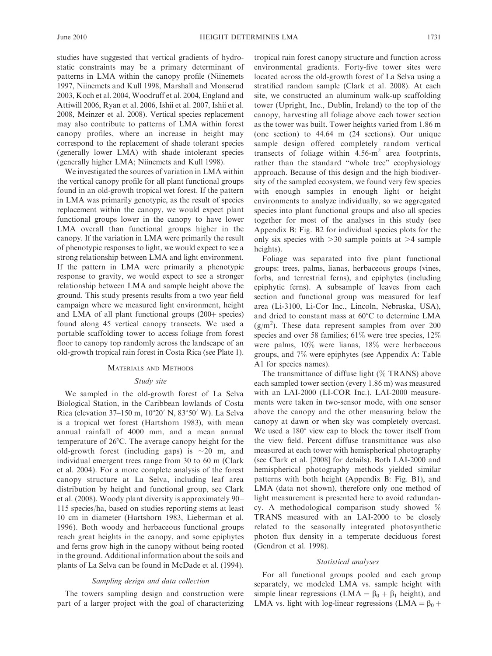studies have suggested that vertical gradients of hydrostatic constraints may be a primary determinant of patterns in LMA within the canopy profile (Niinemets 1997, Niinemets and Kull 1998, Marshall and Monserud 2003, Koch et al. 2004, Woodruff et al. 2004, England and Attiwill 2006, Ryan et al. 2006, Ishii et al. 2007, Ishii et al. 2008, Meinzer et al. 2008). Vertical species replacement may also contribute to patterns of LMA within forest canopy profiles, where an increase in height may correspond to the replacement of shade tolerant species (generally lower LMA) with shade intolerant species (generally higher LMA; Niinemets and Kull 1998).

We investigated the sources of variation in LMA within the vertical canopy profile for all plant functional groups found in an old-growth tropical wet forest. If the pattern in LMA was primarily genotypic, as the result of species replacement within the canopy, we would expect plant functional groups lower in the canopy to have lower LMA overall than functional groups higher in the canopy. If the variation in LMA were primarily the result of phenotypic responses to light, we would expect to see a strong relationship between LMA and light environment. If the pattern in LMA were primarily a phenotypic response to gravity, we would expect to see a stronger relationship between LMA and sample height above the ground. This study presents results from a two year field campaign where we measured light environment, height and LMA of all plant functional groups  $(200+)$  species) found along 45 vertical canopy transects. We used a portable scaffolding tower to access foliage from forest floor to canopy top randomly across the landscape of an old-growth tropical rain forest in Costa Rica (see Plate 1).

## MATERIALS AND METHODS

## Study site

We sampled in the old-growth forest of La Selva Biological Station, in the Caribbean lowlands of Costa Rica (elevation 37–150 m,  $10^{\circ}20'$  N,  $83^{\circ}50'$  W). La Selva is a tropical wet forest (Hartshorn 1983), with mean annual rainfall of 4000 mm, and a mean annual temperature of 26°C. The average canopy height for the old-growth forest (including gaps) is  $\sim$ 20 m, and individual emergent trees range from 30 to 60 m (Clark et al. 2004). For a more complete analysis of the forest canopy structure at La Selva, including leaf area distribution by height and functional group, see Clark et al. (2008). Woody plant diversity is approximately 90– 115 species/ha, based on studies reporting stems at least 10 cm in diameter (Hartshorn 1983, Lieberman et al. 1996). Both woody and herbaceous functional groups reach great heights in the canopy, and some epiphytes and ferns grow high in the canopy without being rooted in the ground. Additional information about the soils and plants of La Selva can be found in McDade et al. (1994).

## Sampling design and data collection

The towers sampling design and construction were part of a larger project with the goal of characterizing

tropical rain forest canopy structure and function across environmental gradients. Forty-five tower sites were located across the old-growth forest of La Selva using a stratified random sample (Clark et al. 2008). At each site, we constructed an aluminum walk-up scaffolding tower (Upright, Inc., Dublin, Ireland) to the top of the canopy, harvesting all foliage above each tower section as the tower was built. Tower heights varied from 1.86 m (one section) to 44.64 m (24 sections). Our unique sample design offered completely random vertical transects of foliage within  $4.56 \text{--} m^2$  area footprints, rather than the standard ''whole tree'' ecophysiology approach. Because of this design and the high biodiversity of the sampled ecosystem, we found very few species with enough samples in enough light or height environments to analyze individually, so we aggregated species into plant functional groups and also all species together for most of the analyses in this study (see Appendix B: Fig. B2 for individual species plots for the only six species with  $>30$  sample points at  $>4$  sample heights).

Foliage was separated into five plant functional groups: trees, palms, lianas, herbaceous groups (vines, forbs, and terrestrial ferns), and epiphytes (including epiphytic ferns). A subsample of leaves from each section and functional group was measured for leaf area (Li-3100, Li-Cor Inc., Lincoln, Nebraska, USA), and dried to constant mass at  $60^{\circ}$ C to determine LMA  $(g/m<sup>2</sup>)$ . These data represent samples from over 200 species and over 58 families; 61% were tree species, 12% were palms, 10% were lianas, 18% were herbaceous groups, and 7% were epiphytes (see Appendix A: Table A1 for species names).

The transmittance of diffuse light (% TRANS) above each sampled tower section (every 1.86 m) was measured with an LAI-2000 (LI-COR Inc.). LAI-2000 measurements were taken in two-sensor mode, with one sensor above the canopy and the other measuring below the canopy at dawn or when sky was completely overcast. We used a  $180^{\circ}$  view cap to block the tower itself from the view field. Percent diffuse transmittance was also measured at each tower with hemispherical photography (see Clark et al. [2008] for details). Both LAI-2000 and hemispherical photography methods yielded similar patterns with both height (Appendix B: Fig. B1), and LMA (data not shown), therefore only one method of light measurement is presented here to avoid redundancy. A methodological comparison study showed % TRANS measured with an LAI-2000 to be closely related to the seasonally integrated photosynthetic photon flux density in a temperate deciduous forest (Gendron et al. 1998).

## Statistical analyses

For all functional groups pooled and each group separately, we modeled LMA vs. sample height with simple linear regressions (LMA =  $\beta_0 + \beta_1$  height), and LMA vs. light with log-linear regressions (LMA =  $\beta_0$  +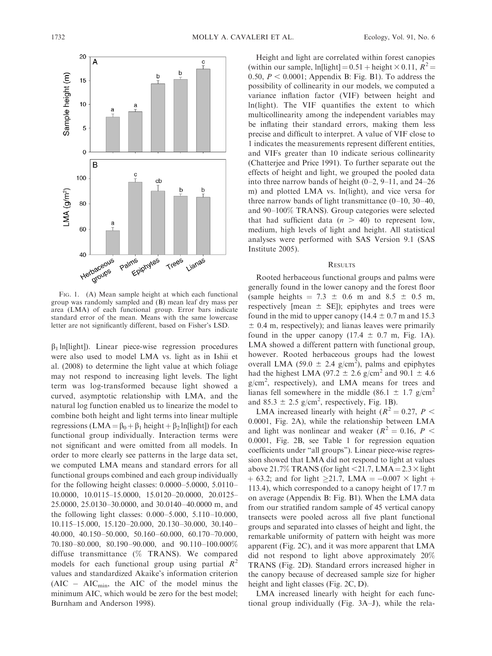

FIG. 1. (A) Mean sample height at which each functional group was randomly sampled and (B) mean leaf dry mass per area (LMA) of each functional group. Error bars indicate standard error of the mean. Means with the same lowercase letter are not significantly different, based on Fisher's LSD.

 $\beta_1$  ln[light]). Linear piece-wise regression procedures were also used to model LMA vs. light as in Ishii et al. (2008) to determine the light value at which foliage may not respond to increasing light levels. The light term was log-transformed because light showed a curved, asymptotic relationship with LMA, and the natural log function enabled us to linearize the model to combine both height and light terms into linear multiple regressions (LMA =  $\beta_0 + \beta_1$  height +  $\beta_2$  ln[light]) for each functional group individually. Interaction terms were not significant and were omitted from all models. In order to more clearly see patterns in the large data set, we computed LMA means and standard errors for all functional groups combined and each group individually for the following height classes: 0.0000–5.0000, 5.0110– 10.0000, 10.0115–15.0000, 15.0120–20.0000, 20.0125– 25.0000, 25.0130–30.0000, and 30.0140–40.0000 m, and the following light classes: 0.000–5.000, 5.110–10.000, 10.115–15.000, 15.120–20.000, 20.130–30.000, 30.140– 40.000, 40.150–50.000, 50.160–60.000, 60.170–70.000, 70.180–80.000, 80.190–90.000, and 90.110–100.000% diffuse transmittance (% TRANS). We compared models for each functional group using partial  $R^2$ values and standardized Akaike's information criterion  $(AIC - AIC<sub>min</sub>, the AIC of the model minus the$ minimum AIC, which would be zero for the best model; Burnham and Anderson 1998).

Height and light are correlated within forest canopies (within our sample, ln[light] =  $0.51$  + height  $\times$  0.11,  $R^2$  = 0.50,  $P < 0.0001$ ; Appendix B: Fig. B1). To address the possibility of collinearity in our models, we computed a variance inflation factor (VIF) between height and ln(light). The VIF quantifies the extent to which multicollinearity among the independent variables may be inflating their standard errors, making them less precise and difficult to interpret. A value of VIF close to 1 indicates the measurements represent different entities, and VIFs greater than 10 indicate serious collinearity (Chatterjee and Price 1991). To further separate out the effects of height and light, we grouped the pooled data into three narrow bands of height (0–2, 9–11, and 24–26 m) and plotted LMA vs. ln(light), and vice versa for three narrow bands of light transmittance (0–10, 30–40, and 90–100% TRANS). Group categories were selected that had sufficient data  $(n > 40)$  to represent low, medium, high levels of light and height. All statistical analyses were performed with SAS Version 9.1 (SAS Institute 2005).

## **RESULTS**

Rooted herbaceous functional groups and palms were generally found in the lower canopy and the forest floor (sample heights  $= 7.3 \pm 0.6$  m and  $8.5 \pm 0.5$  m, respectively [mean  $\pm$  SE]); epiphytes and trees were found in the mid to upper canopy (14.4  $\pm$  0.7 m and 15.3  $\pm$  0.4 m, respectively); and lianas leaves were primarily found in the upper canopy (17.4  $\pm$  0.7 m, Fig. 1A). LMA showed a different pattern with functional group, however. Rooted herbaceous groups had the lowest overall LMA (59.0  $\pm$  2.4 g/cm<sup>2</sup>), palms and epiphytes had the highest LMA (97.2  $\pm$  2.6 g/cm<sup>2</sup> and 90.1  $\pm$  4.6 g/cm<sup>2</sup>, respectively), and LMA means for trees and lianas fell somewhere in the middle (86.1  $\pm$  1.7 g/cm<sup>2</sup> and 85.3  $\pm$  2.5 g/cm<sup>2</sup>, respectively, Fig. 1B).

LMA increased linearly with height ( $R^2 = 0.27$ ,  $P <$ 0.0001, Fig. 2A), while the relationship between LMA and light was nonlinear and weaker ( $R^2 = 0.16$ ,  $P <$ 0.0001, Fig. 2B, see Table 1 for regression equation coefficients under ''all groups''). Linear piece-wise regression showed that LMA did not respond to light at values above 21.7% TRANS (for light  $\leq$ 2.7, LMA = 2.3 $\times$  light  $+$  63.2; and for light  $\geq$ 21.7, LMA =  $-0.007 \times$  light + 113.4), which corresponded to a canopy height of 17.7 m on average (Appendix B: Fig. B1). When the LMA data from our stratified random sample of 45 vertical canopy transects were pooled across all five plant functional groups and separated into classes of height and light, the remarkable uniformity of pattern with height was more apparent (Fig. 2C), and it was more apparent that LMA did not respond to light above approximately 20% TRANS (Fig. 2D). Standard errors increased higher in the canopy because of decreased sample size for higher height and light classes (Fig. 2C, D).

LMA increased linearly with height for each functional group individually (Fig. 3A–J), while the rela-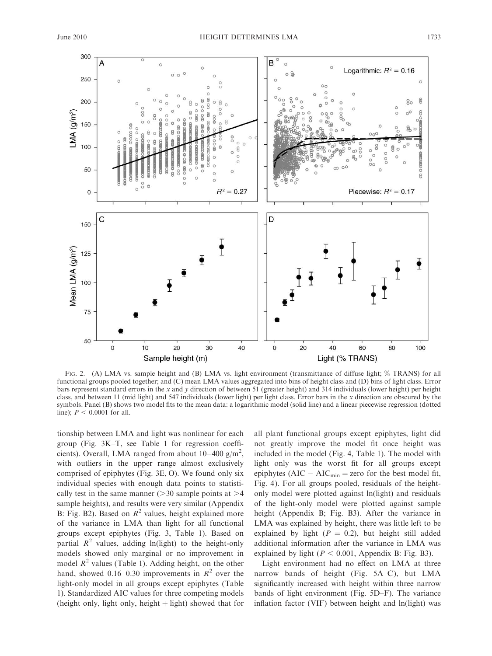

FIG. 2. (A) LMA vs. sample height and (B) LMA vs. light environment (transmittance of diffuse light; % TRANS) for all functional groups pooled together; and (C) mean LMA values aggregated into bins of height class and (D) bins of light class. Error bars represent standard errors in the x and y direction of between 51 (greater height) and 314 individuals (lower height) per height class, and between 11 (mid light) and 547 individuals (lower light) per light class. Error bars in the x direction are obscured by the symbols. Panel (B) shows two model fits to the mean data: a logarithmic model (solid line) and a linear piecewise regression (dotted line);  $P < 0.0001$  for all.

tionship between LMA and light was nonlinear for each group (Fig. 3K–T, see Table 1 for regression coefficients). Overall, LMA ranged from about  $10-400$  g/m<sup>2</sup>, with outliers in the upper range almost exclusively comprised of epiphytes (Fig. 3E, O). We found only six individual species with enough data points to statistically test in the same manner ( $>$ 30 sample points at  $>$ 4 sample heights), and results were very similar (Appendix B: Fig. B2). Based on  $R^2$  values, height explained more of the variance in LMA than light for all functional groups except epiphytes (Fig. 3, Table 1). Based on partial  $R^2$  values, adding ln(light) to the height-only models showed only marginal or no improvement in model  $R^2$  values (Table 1). Adding height, on the other hand, showed 0.16–0.30 improvements in  $R^2$  over the light-only model in all groups except epiphytes (Table 1). Standardized AIC values for three competing models (height only, light only, height  $\frac{1}{2}$  light) showed that for all plant functional groups except epiphytes, light did not greatly improve the model fit once height was included in the model (Fig. 4, Table 1). The model with light only was the worst fit for all groups except epiphytes  $(AIC - AIC_{min} = zero$  for the best model fit, Fig. 4). For all groups pooled, residuals of the heightonly model were plotted against ln(light) and residuals of the light-only model were plotted against sample height (Appendix B; Fig. B3). After the variance in LMA was explained by height, there was little left to be explained by light ( $P = 0.2$ ), but height still added additional information after the variance in LMA was explained by light ( $P < 0.001$ , Appendix B: Fig. B3).

Light environment had no effect on LMA at three narrow bands of height (Fig. 5A–C), but LMA significantly increased with height within three narrow bands of light environment (Fig. 5D–F). The variance inflation factor (VIF) between height and ln(light) was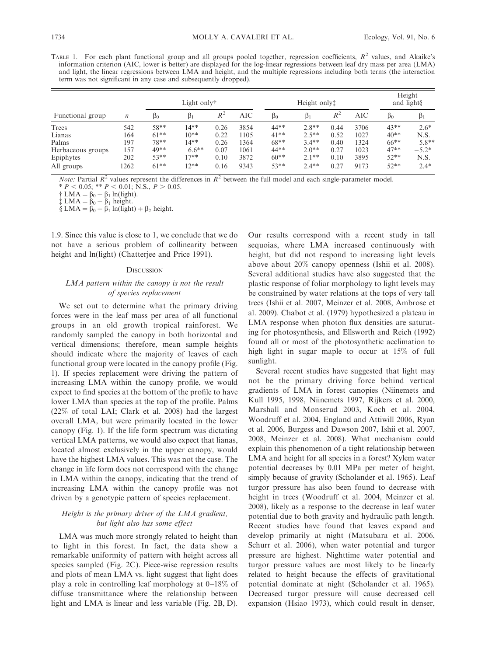TABLE 1. For each plant functional group and all groups pooled together, regression coefficients,  $R^2$  values, and Akaike's information criterion (AIC, lower is better) are displayed for the log-linear regressions between leaf dry mass per area (LMA) and light, the linear regressions between LMA and height, and the multiple regressions including both terms (the interaction term was not significant in any case and subsequently dropped).

| Functional group  | $\boldsymbol{n}$ | Light only† |           |       | Height only <sup>†</sup> |           |           | Height<br>and light§ |            |           |           |
|-------------------|------------------|-------------|-----------|-------|--------------------------|-----------|-----------|----------------------|------------|-----------|-----------|
|                   |                  | $\beta_0$   | $\beta_1$ | $R^2$ | AIC                      | $\beta_0$ | $\beta_1$ | $R^2$                | <b>AIC</b> | $\beta_0$ | $\beta_1$ |
| Trees             | 542              | 58**        | $14**$    | 0.26  | 3854                     | $44**$    | $2.8**$   | 0.44                 | 3706       | $43**$    | $2.6*$    |
| Lianas            | 164              | $61**$      | $10**$    | 0.22  | 1105                     | $41**$    | $2.5**$   | 0.52                 | 1027       | $40**$    | N.S.      |
| Palms             | 197              | 78**        | $14**$    | 0.26  | 1364                     | $68**$    | $3.4**$   | 0.40                 | 1324       | $66***$   | $5.8**$   |
| Herbaceous groups | 157              | 49**        | $6.6**$   | 0.07  | 1061                     | $44**$    | $2.0**$   | 0.27                 | 1023       | $47**$    | $-5.2*$   |
| Epiphytes         | 202              | 53**        | $17**$    | 0.10  | 3872                     | $60**$    | $2.1**$   | 0.10                 | 3895       | $52**$    | N.S.      |
| All groups        | 1262             | $61**$      | $12**$    | 0.16  | 9343                     | $53**$    | $2.4**$   | 0.27                 | 9173       | $52**$    | $2.4*$    |

*Note:* Partial  $R^2$  values represent the differences in  $R^2$  between the full model and each single-parameter model.

 $*$  P < 0.05;  $*$  P < 0.01; N.S., P > 0.05.

 $\dagger$  LMA =  $\beta_0 + \beta_1$  ln(light).

 $\ddagger$  LMA =  $\beta_0 + \beta_1$  height.

 $\S LMA = \beta_0 + \beta_1 \ln(\text{light}) + \beta_2 \text{ height}.$ 

1.9. Since this value is close to 1, we conclude that we do not have a serious problem of collinearity between height and ln(light) (Chatterjee and Price 1991).

#### **DISCUSSION**

# LMA pattern within the canopy is not the result of species replacement

We set out to determine what the primary driving forces were in the leaf mass per area of all functional groups in an old growth tropical rainforest. We randomly sampled the canopy in both horizontal and vertical dimensions; therefore, mean sample heights should indicate where the majority of leaves of each functional group were located in the canopy profile (Fig. 1). If species replacement were driving the pattern of increasing LMA within the canopy profile, we would expect to find species at the bottom of the profile to have lower LMA than species at the top of the profile. Palms (22% of total LAI; Clark et al. 2008) had the largest overall LMA, but were primarily located in the lower canopy (Fig. 1). If the life form spectrum was dictating vertical LMA patterns, we would also expect that lianas, located almost exclusively in the upper canopy, would have the highest LMA values. This was not the case. The change in life form does not correspond with the change in LMA within the canopy, indicating that the trend of increasing LMA within the canopy profile was not driven by a genotypic pattern of species replacement.

# Height is the primary driver of the LMA gradient, but light also has some effect

LMA was much more strongly related to height than to light in this forest. In fact, the data show a remarkable uniformity of pattern with height across all species sampled (Fig. 2C). Piece-wise regression results and plots of mean LMA vs. light suggest that light does play a role in controlling leaf morphology at 0–18% of diffuse transmittance where the relationship between light and LMA is linear and less variable (Fig. 2B, D). Our results correspond with a recent study in tall sequoias, where LMA increased continuously with height, but did not respond to increasing light levels above about 20% canopy openness (Ishii et al. 2008). Several additional studies have also suggested that the plastic response of foliar morphology to light levels may be constrained by water relations at the tops of very tall trees (Ishii et al. 2007, Meinzer et al. 2008, Ambrose et al. 2009). Chabot et al. (1979) hypothesized a plateau in LMA response when photon flux densities are saturating for photosynthesis, and Ellsworth and Reich (1992) found all or most of the photosynthetic acclimation to high light in sugar maple to occur at 15% of full sunlight.

Several recent studies have suggested that light may not be the primary driving force behind vertical gradients of LMA in forest canopies (Niinemets and Kull 1995, 1998, Niinemets 1997, Rijkers et al. 2000, Marshall and Monserud 2003, Koch et al. 2004, Woodruff et al. 2004, England and Attiwill 2006, Ryan et al. 2006, Burgess and Dawson 2007, Ishii et al. 2007, 2008, Meinzer et al. 2008). What mechanism could explain this phenomenon of a tight relationship between LMA and height for all species in a forest? Xylem water potential decreases by 0.01 MPa per meter of height, simply because of gravity (Scholander et al. 1965). Leaf turgor pressure has also been found to decrease with height in trees (Woodruff et al. 2004, Meinzer et al. 2008), likely as a response to the decrease in leaf water potential due to both gravity and hydraulic path length. Recent studies have found that leaves expand and develop primarily at night (Matsubara et al. 2006, Schurr et al. 2006), when water potential and turgor pressure are highest. Nighttime water potential and turgor pressure values are most likely to be linearly related to height because the effects of gravitational potential dominate at night (Scholander et al. 1965). Decreased turgor pressure will cause decreased cell expansion (Hsiao 1973), which could result in denser,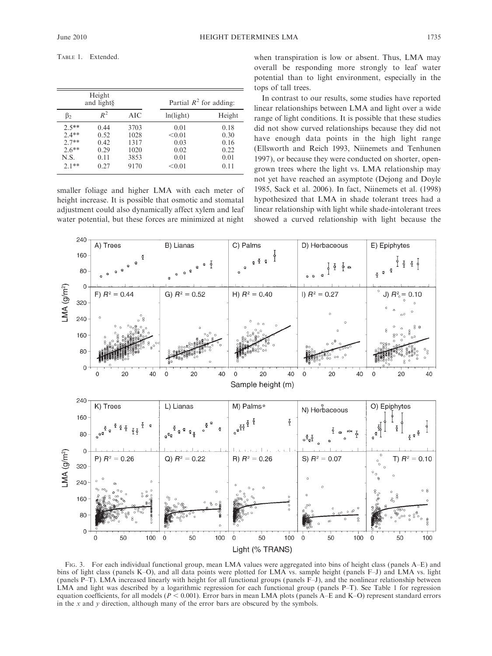TABLE 1. Extended.

|                                                             | Height<br>and light§                         |                                              | Partial $R^2$ for adding:                        |                                              |  |  |  |
|-------------------------------------------------------------|----------------------------------------------|----------------------------------------------|--------------------------------------------------|----------------------------------------------|--|--|--|
| $\beta_2$                                                   | $R^2$                                        | AIC                                          | ln(light)                                        | Height                                       |  |  |  |
| $2.5**$<br>$2.4**$<br>$2.7**$<br>$2.6**$<br>N.S.<br>$2.1**$ | 0.44<br>0.52<br>0.42<br>0.29<br>0.11<br>0.27 | 3703<br>1028<br>1317<br>1020<br>3853<br>9170 | 0.01<br>< 0.01<br>0.03<br>0.02<br>0.01<br>< 0.01 | 0.18<br>0.30<br>0.16<br>0.22<br>0.01<br>0.11 |  |  |  |

smaller foliage and higher LMA with each meter of height increase. It is possible that osmotic and stomatal adjustment could also dynamically affect xylem and leaf water potential, but these forces are minimized at night

when transpiration is low or absent. Thus, LMA may overall be responding more strongly to leaf water potential than to light environment, especially in the tops of tall trees.

In contrast to our results, some studies have reported linear relationships between LMA and light over a wide range of light conditions. It is possible that these studies did not show curved relationships because they did not have enough data points in the high light range (Ellsworth and Reich 1993, Niinemets and Tenhunen 1997), or because they were conducted on shorter, opengrown trees where the light vs. LMA relationship may not yet have reached an asymptote (Dejong and Doyle 1985, Sack et al. 2006). In fact, Niinemets et al. (1998) hypothesized that LMA in shade tolerant trees had a linear relationship with light while shade-intolerant trees showed a curved relationship with light because the



FIG. 3. For each individual functional group, mean LMA values were aggregated into bins of height class (panels A–E) and bins of light class (panels K–O), and all data points were plotted for LMA vs. sample height (panels F–J) and LMA vs. light (panels P–T). LMA increased linearly with height for all functional groups (panels F–J), and the nonlinear relationship between LMA and light was described by a logarithmic regression for each functional group (panels P–T). See Table 1 for regression equation coefficients, for all models ( $P < 0.001$ ). Error bars in mean LMA plots (panels A–E and K–O) represent standard errors in the  $x$  and  $y$  direction, although many of the error bars are obscured by the symbols.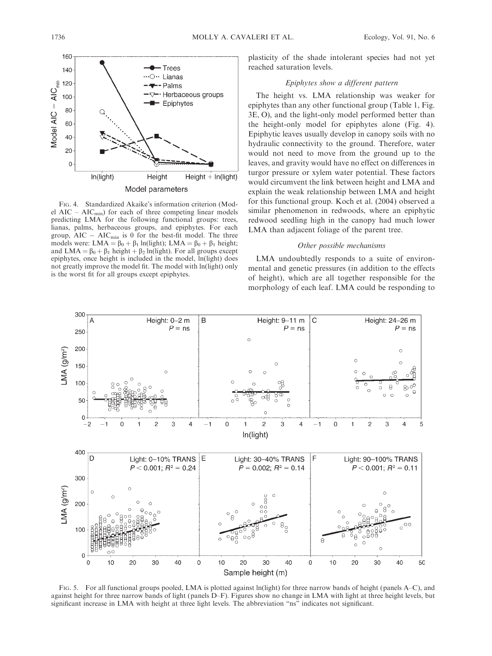

FIG. 4. Standardized Akaike's information criterion (Model AIC –  $AIC_{min}$ ) for each of three competing linear models predicting LMA for the following functional groups: trees, lianas, palms, herbaceous groups, and epiphytes. For each group,  $AIC - AIC_{min}$  is 0 for the best-fit model. The three models were: LMA =  $\beta_0 + \beta_1$  ln(light); LMA =  $\beta_0 + \beta_1$  height; and LMA =  $\beta_0 + \beta_1$  height +  $\beta_2$  ln(light). For all groups except epiphytes, once height is included in the model, ln(light) does not greatly improve the model fit. The model with ln(light) only is the worst fit for all groups except epiphytes.

plasticity of the shade intolerant species had not yet reached saturation levels.

## Epiphytes show a different pattern

The height vs. LMA relationship was weaker for epiphytes than any other functional group (Table 1, Fig. 3E, O), and the light-only model performed better than the height-only model for epiphytes alone (Fig. 4). Epiphytic leaves usually develop in canopy soils with no hydraulic connectivity to the ground. Therefore, water would not need to move from the ground up to the leaves, and gravity would have no effect on differences in turgor pressure or xylem water potential. These factors would circumvent the link between height and LMA and explain the weak relationship between LMA and height for this functional group. Koch et al. (2004) observed a similar phenomenon in redwoods, where an epiphytic redwood seedling high in the canopy had much lower LMA than adjacent foliage of the parent tree.

## Other possible mechanisms

LMA undoubtedly responds to a suite of environmental and genetic pressures (in addition to the effects of height), which are all together responsible for the morphology of each leaf. LMA could be responding to



FIG. 5. For all functional groups pooled, LMA is plotted against ln(light) for three narrow bands of height (panels A–C), and against height for three narrow bands of light (panels D–F). Figures show no change in LMA with light at three height levels, but significant increase in LMA with height at three light levels. The abbreviation "ns" indicates not significant.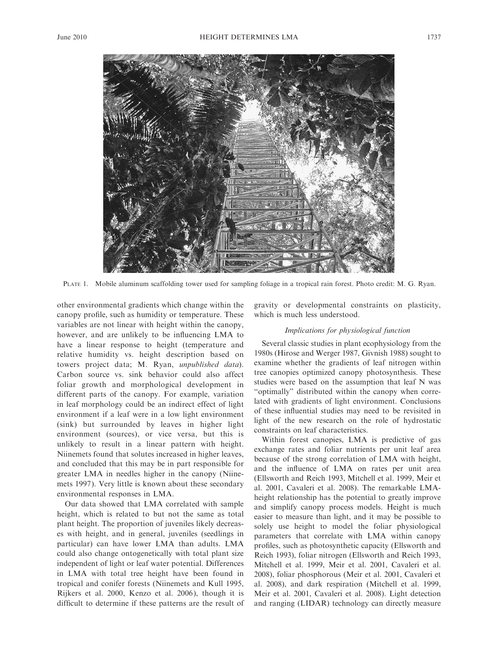

PLATE 1. Mobile aluminum scaffolding tower used for sampling foliage in a tropical rain forest. Photo credit: M. G. Ryan.

other environmental gradients which change within the canopy profile, such as humidity or temperature. These variables are not linear with height within the canopy, however, and are unlikely to be influencing LMA to have a linear response to height (temperature and relative humidity vs. height description based on towers project data; M. Ryan, unpublished data). Carbon source vs. sink behavior could also affect foliar growth and morphological development in different parts of the canopy. For example, variation in leaf morphology could be an indirect effect of light environment if a leaf were in a low light environment (sink) but surrounded by leaves in higher light environment (sources), or vice versa, but this is unlikely to result in a linear pattern with height. Niinemets found that solutes increased in higher leaves, and concluded that this may be in part responsible for greater LMA in needles higher in the canopy (Niinemets 1997). Very little is known about these secondary environmental responses in LMA.

Our data showed that LMA correlated with sample height, which is related to but not the same as total plant height. The proportion of juveniles likely decreases with height, and in general, juveniles (seedlings in particular) can have lower LMA than adults. LMA could also change ontogenetically with total plant size independent of light or leaf water potential. Differences in LMA with total tree height have been found in tropical and conifer forests (Niinemets and Kull 1995, Rijkers et al. 2000, Kenzo et al. 2006), though it is difficult to determine if these patterns are the result of gravity or developmental constraints on plasticity, which is much less understood.

## Implications for physiological function

Several classic studies in plant ecophysiology from the 1980s (Hirose and Werger 1987, Givnish 1988) sought to examine whether the gradients of leaf nitrogen within tree canopies optimized canopy photosynthesis. These studies were based on the assumption that leaf N was ''optimally'' distributed within the canopy when correlated with gradients of light environment. Conclusions of these influential studies may need to be revisited in light of the new research on the role of hydrostatic constraints on leaf characteristics.

Within forest canopies, LMA is predictive of gas exchange rates and foliar nutrients per unit leaf area because of the strong correlation of LMA with height, and the influence of LMA on rates per unit area (Ellsworth and Reich 1993, Mitchell et al. 1999, Meir et al. 2001, Cavaleri et al. 2008). The remarkable LMAheight relationship has the potential to greatly improve and simplify canopy process models. Height is much easier to measure than light, and it may be possible to solely use height to model the foliar physiological parameters that correlate with LMA within canopy profiles, such as photosynthetic capacity (Ellsworth and Reich 1993), foliar nitrogen (Ellsworth and Reich 1993, Mitchell et al. 1999, Meir et al. 2001, Cavaleri et al. 2008), foliar phosphorous (Meir et al. 2001, Cavaleri et al. 2008), and dark respiration (Mitchell et al. 1999, Meir et al. 2001, Cavaleri et al. 2008). Light detection and ranging (LIDAR) technology can directly measure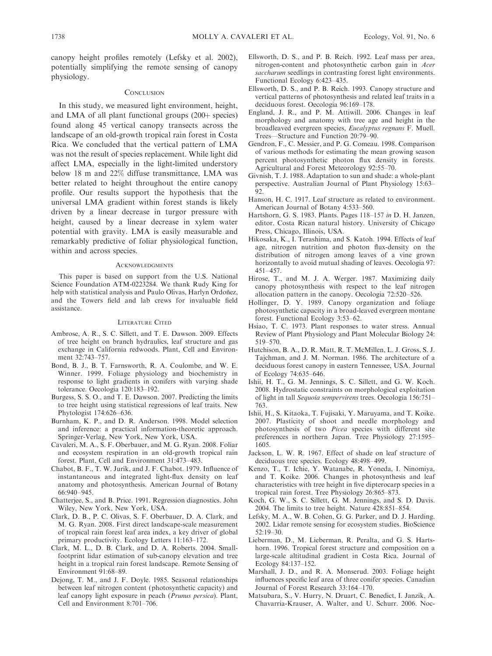canopy height profiles remotely (Lefsky et al. 2002), potentially simplifying the remote sensing of canopy physiology.

## **CONCLUSION**

In this study, we measured light environment, height, and LMA of all plant functional groups  $(200+)$  species) found along 45 vertical canopy transects across the landscape of an old-growth tropical rain forest in Costa Rica. We concluded that the vertical pattern of LMA was not the result of species replacement. While light did affect LMA, especially in the light-limited understory below 18 m and 22% diffuse transmittance, LMA was better related to height throughout the entire canopy profile. Our results support the hypothesis that the universal LMA gradient within forest stands is likely driven by a linear decrease in turgor pressure with height, caused by a linear decrease in xylem water potential with gravity. LMA is easily measurable and remarkably predictive of foliar physiological function, within and across species.

#### ACKNOWLEDGMENTS

This paper is based on support from the U.S. National Science Foundation ATM-0223284. We thank Rudy King for help with statistical analysis and Paulo Olivas, Harlyn Ordoñez, and the Towers field and lab crews for invaluable field assistance.

#### LITERATURE CITED

- Ambrose, A. R., S. C. Sillett, and T. E. Dawson. 2009. Effects of tree height on branch hydraulics, leaf structure and gas exchange in California redwoods. Plant, Cell and Environment 32:743–757.
- Bond, B. J., B. T. Farnsworth, R. A. Coulombe, and W. E. Winner. 1999. Foliage physiology and biochemistry in response to light gradients in conifers with varying shade tolerance. Oecologia 120:183–192.
- Burgess, S. S. O., and T. E. Dawson. 2007. Predicting the limits to tree height using statistical regressions of leaf traits. New Phytologist 174:626–636.
- Burnham, K. P., and D. R. Anderson. 1998. Model selection and inference: a practical information-theoretic approach. Springer-Verlag, New York, New York, USA.
- Cavaleri, M. A., S. F. Oberbauer, and M. G. Ryan. 2008. Foliar and ecosystem respiration in an old-growth tropical rain forest. Plant, Cell and Environment 31:473–483.
- Chabot, B. F., T. W. Jurik, and J. F. Chabot. 1979. Influence of instantaneous and integrated light-flux density on leaf anatomy and photosynthesis. American Journal of Botany 66:940–945.
- Chatterjee, S., and B. Price. 1991. Regression diagnostics. John Wiley, New York, New York, USA.
- Clark, D. B., P. C. Olivas, S. F. Oberbauer, D. A. Clark, and M. G. Ryan. 2008. First direct landscape-scale measurement of tropical rain forest leaf area index, a key driver of global primary productivity. Ecology Letters 11:163–172.
- Clark, M. L., D. B. Clark, and D. A. Roberts. 2004. Smallfootprint lidar estimation of sub-canopy elevation and tree height in a tropical rain forest landscape. Remote Sensing of Environment 91:68–89.
- Dejong, T. M., and J. F. Doyle. 1985. Seasonal relationships between leaf nitrogen content (photosynthetic capacity) and leaf canopy light exposure in peach (Prunus persica). Plant, Cell and Environment 8:701–706.
- Ellsworth, D. S., and P. B. Reich. 1992. Leaf mass per area, nitrogen-content and photosynthetic carbon gain in Acer saccharum seedlings in contrasting forest light environments. Functional Ecology 6:423–435.
- Ellsworth, D. S., and P. B. Reich. 1993. Canopy structure and vertical patterns of photosynthesis and related leaf traits in a deciduous forest. Oecologia 96:169–178.
- England, J. R., and P. M. Attiwill. 2006. Changes in leaf morphology and anatomy with tree age and height in the broadleaved evergreen species, Eucalyptus regnans F. Muell. Trees—Structure and Function 20:79–90.
- Gendron, F., C. Messier, and P. G. Comeau. 1998. Comparison of various methods for estimating the mean growing season percent photosynthetic photon flux density in forests. Agricultural and Forest Meteorology 92:55–70.
- Givnish, T. J. 1988. Adaptation to sun and shade: a whole-plant perspective. Australian Journal of Plant Physiology 15:63– 92.
- Hanson, H. C. 1917. Leaf structure as related to environment. American Journal of Botany 4:533–560.
- Hartshorn, G. S. 1983. Plants. Pages 118–157 in D. H. Janzen, editor. Costa Rican natural history. University of Chicago Press, Chicago, Illinois, USA.
- Hikosaka, K., I. Terashima, and S. Katoh. 1994. Effects of leaf age, nitrogen nutrition and photon flux-density on the distribution of nitrogen among leaves of a vine grown horizontally to avoid mutual shading of leaves. Oecologia 97: 451–457.
- Hirose, T., and M. J. A. Werger. 1987. Maximizing daily canopy photosynthesis with respect to the leaf nitrogen allocation pattern in the canopy. Oecologia 72:520–526.
- Hollinger, D. Y. 1989. Canopy organization and foliage photosynthetic capacity in a broad-leaved evergreen montane forest. Functional Ecology 3:53–62.
- Hsiao, T. C. 1973. Plant responses to water stress. Annual Review of Plant Physiology and Plant Molecular Biology 24: 519–570.
- Hutchison, B. A., D. R. Matt, R. T. McMillen, L. J. Gross, S. J. Tajchman, and J. M. Norman. 1986. The architecture of a deciduous forest canopy in eastern Tennessee, USA. Journal of Ecology 74:635–646.
- Ishii, H. T., G. M. Jennings, S. C. Sillett, and G. W. Koch. 2008. Hydrostatic constraints on morphological exploitation of light in tall Sequoia sempervirens trees. Oecologia 156:751– 763.
- Ishii, H., S. Kitaoka, T. Fujisaki, Y. Maruyama, and T. Koike. 2007. Plasticity of shoot and needle morphology and photosynthesis of two Picea species with different site preferences in northern Japan. Tree Physiology 27:1595– 1605.
- Jackson, L. W. R. 1967. Effect of shade on leaf structure of deciduous tree species. Ecology 48:498–499.
- Kenzo, T., T. Ichie, Y. Watanabe, R. Yoneda, I. Ninomiya, and T. Koike. 2006. Changes in photosynthesis and leaf characteristics with tree height in five dipterocarp species in a tropical rain forest. Tree Physiology 26:865–873.
- Koch, G. W., S. C. Sillett, G. M. Jennings, and S. D. Davis. 2004. The limits to tree height. Nature 428:851–854.
- Lefsky, M. A., W. B. Cohen, G. G. Parker, and D. J. Harding. 2002. Lidar remote sensing for ecosystem studies. BioScience  $52.19 - 30.$
- Lieberman, D., M. Lieberman, R. Peralta, and G. S. Hartshorn. 1996. Tropical forest structure and composition on a large-scale altitudinal gradient in Costa Rica. Journal of Ecology 84:137–152.
- Marshall, J. D., and R. A. Monserud. 2003. Foliage height influences specific leaf area of three conifer species. Canadian Journal of Forest Research 33:164–170.
- Matsubara, S., V. Hurry, N. Druart, C. Benedict, I. Janzik, A. Chavarria-Krauser, A. Walter, and U. Schurr. 2006. Noc-